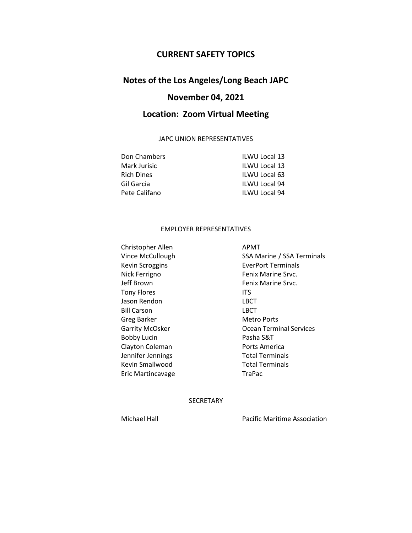### **CURRENT SAFETY TOPICS**

## **Notes of the Los Angeles/Long Beach JAPC**

# **November 04, 2021**

## **Location: Zoom Virtual Meeting**

#### JAPC UNION REPRESENTATIVES

| Don Chambers  | <b>ILWU Local 13</b> |
|---------------|----------------------|
| Mark Jurisic  | <b>ILWU Local 13</b> |
| Rich Dines    | <b>ILWU Local 63</b> |
| Gil Garcia    | <b>ILWU Local 94</b> |
| Pete Califano | <b>ILWU Local 94</b> |

#### EMPLOYER REPRESENTATIVES

Christopher Allen APMT Nick Ferrigno **Fenix Marine Srvc.** Jeff Brown **Fenix Marine Srvc.** Tony Flores **ITS** Jason Rendon **LBCT** Bill Carson LBCT Greg Barker Metro Ports Bobby Lucin **Pasha S&T** Clayton Coleman **Ports America** Jennifer Jennings Total Terminals Kevin Smallwood Total Terminals Eric Martincavage TraPac

Vince McCullough SSA Marine / SSA Terminals Kevin Scroggins **EverPort Terminals** Garrity McOsker **Carries** Ocean Terminal Services

**SECRETARY** 

Michael Hall Pacific Maritime Association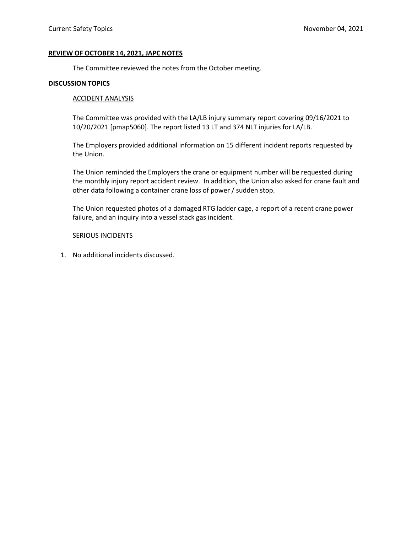#### **REVIEW OF OCTOBER 14, 2021, JAPC NOTES**

The Committee reviewed the notes from the October meeting.

#### **DISCUSSION TOPICS**

#### ACCIDENT ANALYSIS

The Committee was provided with the LA/LB injury summary report covering 09/16/2021 to 10/20/2021 [pmap5060]. The report listed 13 LT and 374 NLT injuries for LA/LB.

The Employers provided additional information on 15 different incident reports requested by the Union.

The Union reminded the Employers the crane or equipment number will be requested during the monthly injury report accident review. In addition, the Union also asked for crane fault and other data following a container crane loss of power / sudden stop.

The Union requested photos of a damaged RTG ladder cage, a report of a recent crane power failure, and an inquiry into a vessel stack gas incident.

#### SERIOUS INCIDENTS

1. No additional incidents discussed.